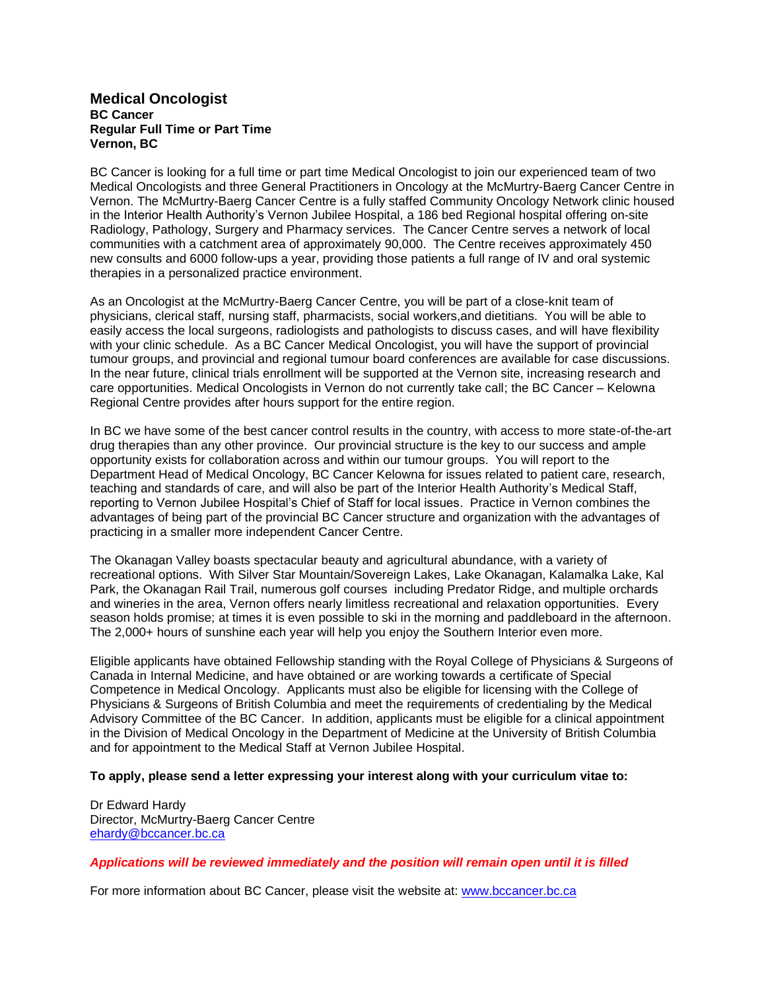## **Medical Oncologist BC Cancer Regular Full Time or Part Time Vernon, BC**

BC Cancer is looking for a full time or part time Medical Oncologist to join our experienced team of two Medical Oncologists and three General Practitioners in Oncology at the McMurtry-Baerg Cancer Centre in Vernon. The McMurtry-Baerg Cancer Centre is a fully staffed Community Oncology Network clinic housed in the Interior Health Authority's Vernon Jubilee Hospital, a 186 bed Regional hospital offering on-site Radiology, Pathology, Surgery and Pharmacy services. The Cancer Centre serves a network of local communities with a catchment area of approximately 90,000. The Centre receives approximately 450 new consults and 6000 follow-ups a year, providing those patients a full range of IV and oral systemic therapies in a personalized practice environment.

As an Oncologist at the McMurtry-Baerg Cancer Centre, you will be part of a close-knit team of physicians, clerical staff, nursing staff, pharmacists, social workers,and dietitians. You will be able to easily access the local surgeons, radiologists and pathologists to discuss cases, and will have flexibility with your clinic schedule. As a BC Cancer Medical Oncologist, you will have the support of provincial tumour groups, and provincial and regional tumour board conferences are available for case discussions. In the near future, clinical trials enrollment will be supported at the Vernon site, increasing research and care opportunities. Medical Oncologists in Vernon do not currently take call; the BC Cancer – Kelowna Regional Centre provides after hours support for the entire region.

In BC we have some of the best cancer control results in the country, with access to more state-of-the-art drug therapies than any other province. Our provincial structure is the key to our success and ample opportunity exists for collaboration across and within our tumour groups. You will report to the Department Head of Medical Oncology, BC Cancer Kelowna for issues related to patient care, research, teaching and standards of care, and will also be part of the Interior Health Authority's Medical Staff, reporting to Vernon Jubilee Hospital's Chief of Staff for local issues. Practice in Vernon combines the advantages of being part of the provincial BC Cancer structure and organization with the advantages of practicing in a smaller more independent Cancer Centre.

The Okanagan Valley boasts spectacular beauty and agricultural abundance, with a variety of recreational options. With Silver Star Mountain/Sovereign Lakes, Lake Okanagan, Kalamalka Lake, Kal Park, the Okanagan Rail Trail, numerous golf courses including Predator Ridge, and multiple orchards and wineries in the area, Vernon offers nearly limitless recreational and relaxation opportunities. Every season holds promise; at times it is even possible to ski in the morning and paddleboard in the afternoon. The 2,000+ hours of sunshine each year will help you enjoy the Southern Interior even more.

Eligible applicants have obtained Fellowship standing with the Royal College of Physicians & Surgeons of Canada in Internal Medicine, and have obtained or are working towards a certificate of Special Competence in Medical Oncology. Applicants must also be eligible for licensing with the College of Physicians & Surgeons of British Columbia and meet the requirements of credentialing by the Medical Advisory Committee of the BC Cancer. In addition, applicants must be eligible for a clinical appointment in the Division of Medical Oncology in the Department of Medicine at the University of British Columbia and for appointment to the Medical Staff at Vernon Jubilee Hospital.

## **To apply, please send a letter expressing your interest along with your curriculum vitae to:**

Dr Edward Hardy Director, McMurtry-Baerg Cancer Centre [ehardy@bccancer.bc.ca](mailto:ehardy@bccancer.bc.ca)

## *Applications will be reviewed immediately and the position will remain open until it is filled*

For more information about BC Cancer, please visit the website at: [www.bccancer.bc.ca](http://www.bccancer.bc.ca/)